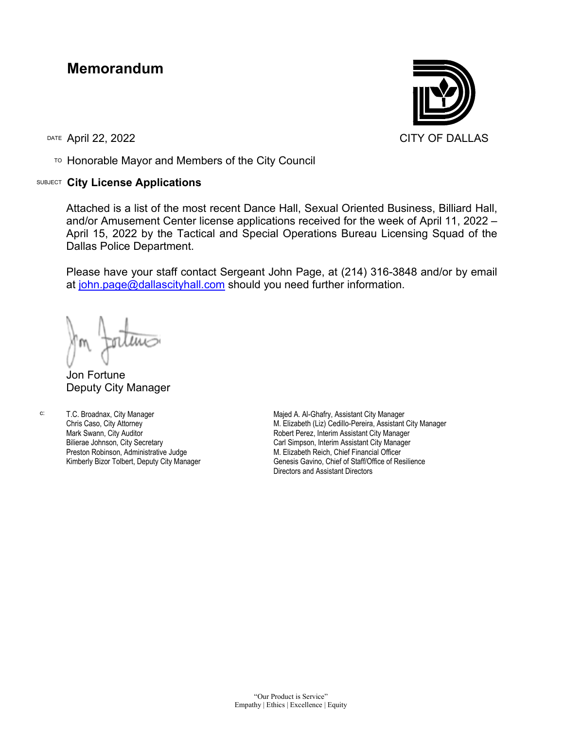## **Memorandum**

TO Honorable Mayor and Members of the City Council

## SUBJECT **City License Applications**



Attached is a list of the most recent Dance Hall, Sexual Oriented Business, Billiard Hall, and/or Amusement Center license applications received for the week of April 11, 2022 – April 15, 2022 by the Tactical and Special Operations Bureau Licensing Squad of the Dallas Police Department.

Please have your staff contact Sergeant John Page, at (214) 316-3848 and/or by email at [john.page@dallascityhall.com](mailto:john.page@dallascityhall.com) should you need further information.

Jon Fortune Deputy City Manager

c: T.C. Broadnax, City Manager Chris Caso, City Attorney Mark Swann, City Auditor Bilierae Johnson, City Secretary Preston Robinson, Administrative Judge Kimberly Bizor Tolbert, Deputy City Manager

Majed A. Al-Ghafry, Assistant City Manager M. Elizabeth (Liz) Cedillo-Pereira, Assistant City Manager Robert Perez, Interim Assistant City Manager Carl Simpson, Interim Assistant City Manager M. Elizabeth Reich, Chief Financial Officer Genesis Gavino, Chief of Staff/Office of Resilience Directors and Assistant Directors